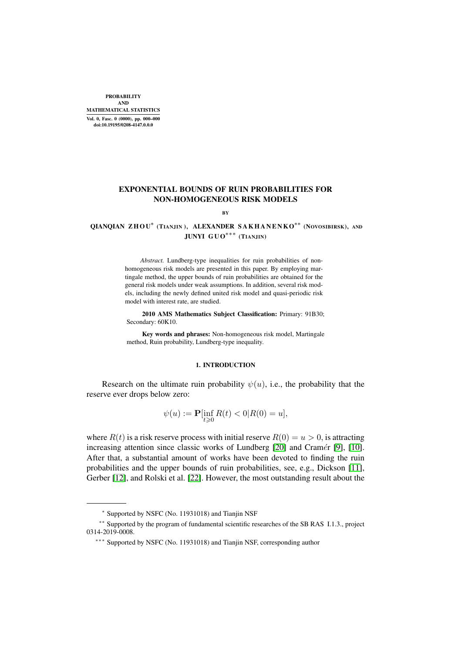PROBABILITY AND MATHEMATICAL STATISTICS Vol. 0, Fasc. 0 (0000), pp. 000–000 doi:10.19195/0208-4147.0.0.0

## EXPONENTIAL BOUNDS OF RUIN PROBABILITIES FOR NON-HOMOGENEOUS RISK MODELS

BY

# QIANQIAN Z H O U*<sup>∗</sup>* (TIANJIN ), ALEXANDER S A K H A N E N KO*∗∗* (NOVOSIBIRSK), AND JUNYI G U O*∗∗∗* (TIANJIN)

*Abstract.* Lundberg-type inequalities for ruin probabilities of nonhomogeneous risk models are presented in this paper. By employing martingale method, the upper bounds of ruin probabilities are obtained for the general risk models under weak assumptions. In addition, several risk models, including the newly defined united risk model and quasi-periodic risk model with interest rate, are studied.

2010 AMS Mathematics Subject Classification: Primary: 91B30; Secondary:  $60K10$ .

Key words and phrases: Non-homogeneous risk model, Martingale method, Ruin probability, Lundberg-type inequality.

#### 1. INTRODUCTION

Research on the ultimate ruin probability  $\psi(u)$ , i.e., the probability that the reserve ever drops below zero:

$$
\psi(u) := \mathbf{P}[\inf_{t \ge 0} R(t) < 0 | R(0) = u],
$$

where  $R(t)$  is a risk reserve process with initial reserve  $R(0) = u > 0$ , is attracting increasing attention since classic works of Lundberg [\[20\]](#page-18-0) and Cramér [\[9\]](#page-18-1), [\[10\]](#page-18-2). After that, a substantial amount of works have been devoted to finding the ruin probabilities and the upper bounds of ruin probabilities, see, e.g., Dickson [\[11\]](#page-18-3), Gerber [\[12\]](#page-18-4), and Rolski et al. [\[22\]](#page-18-5). However, the most outstanding result about the

*<sup>∗</sup>* Supported by NSFC (No. 11931018) and Tianjin NSF

*<sup>∗∗</sup>* Supported by the program of fundamental scientific researches of the SB RAS I.1.3., project 0314-2019-0008.

*<sup>∗∗∗</sup>* Supported by NSFC (No. 11931018) and Tianjin NSF, corresponding author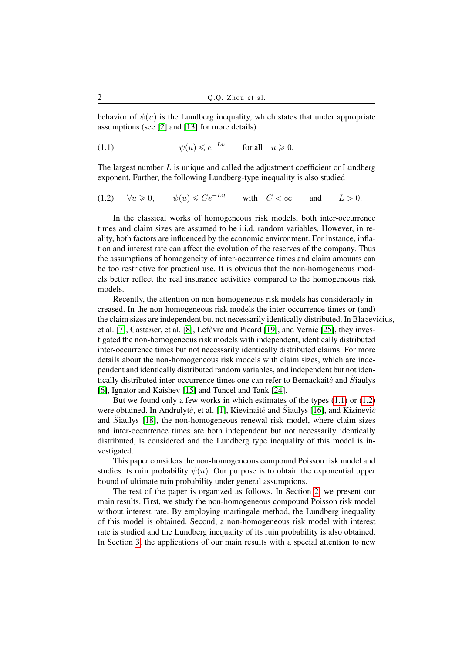behavior of  $\psi(u)$  is the Lundberg inequality, which states that under appropriate assumptions (see [\[2\]](#page-18-6) and [\[13\]](#page-18-7) for more details)

<span id="page-1-0"></span>(1.1)  $\psi(u) \leqslant e^{-Lu}$  for all  $u \geqslant 0$ .

The largest number  $L$  is unique and called the adjustment coefficient or Lundberg exponent. Further, the following Lundberg-type inequality is also studied

<span id="page-1-1"></span>
$$
(1.2) \quad \forall u \geqslant 0, \qquad \psi(u) \leqslant Ce^{-Lu} \qquad \text{with} \quad C < \infty \qquad \text{and} \qquad L > 0.
$$

In the classical works of homogeneous risk models, both inter-occurrence times and claim sizes are assumed to be i.i.d. random variables. However, in reality, both factors are influenced by the economic environment. For instance, inflation and interest rate can affect the evolution of the reserves of the company. Thus the assumptions of homogeneity of inter-occurrence times and claim amounts can be too restrictive for practical use. It is obvious that the non-homogeneous models better reflect the real insurance activities compared to the homogeneous risk models.

Recently, the attention on non-homogeneous risk models has considerably increased. In the non-homogeneous risk models the inter-occurrence times or (and) the claim sizes are independent but not necessarily identically distributed. In Blaževičius, et al. [\[7\]](#page-18-8), Castañer, et al. [\[8\]](#page-18-9), Lefèvre and Picard [\[19\]](#page-18-10), and Vernic [\[25\]](#page-18-11), they investigated the non-homogeneous risk models with independent, identically distributed inter-occurrence times but not necessarily identically distributed claims. For more details about the non-homogeneous risk models with claim sizes, which are independent and identically distributed random variables, and independent but not identically distributed inter-occurrence times one can refer to Bernackaite and  $\ddot{S}$ iaulys [\[6\]](#page-18-12), Ignator and Kaishev [\[15\]](#page-18-13) and Tuncel and Tank [\[24\]](#page-18-14).

But we found only a few works in which estimates of the types [\(1.1\)](#page-1-0) or [\(1.2\)](#page-1-1) were obtained. In Andrulyte, et al. [\[1\]](#page-18-15), Kievinaite and Staulys [\[16\]](#page-18-16), and Kizinevic<sup> $\check{c}$ </sup> and  $\ddot{S}$ iaulys [\[18\]](#page-18-17), the non-homogeneous renewal risk model, where claim sizes and inter-occurrence times are both independent but not necessarily identically distributed, is considered and the Lundberg type inequality of this model is investigated.

This paper considers the non-homogeneous compound Poisson risk model and studies its ruin probability  $\psi(u)$ . Our purpose is to obtain the exponential upper bound of ultimate ruin probability under general assumptions.

The rest of the paper is organized as follows. In Section [2,](#page-2-0) we present our main results. First, we study the non-homogeneous compound Poisson risk model without interest rate. By employing martingale method, the Lundberg inequality of this model is obtained. Second, a non-homogeneous risk model with interest rate is studied and the Lundberg inequality of its ruin probability is also obtained. In Section [3,](#page-6-0) the applications of our main results with a special attention to new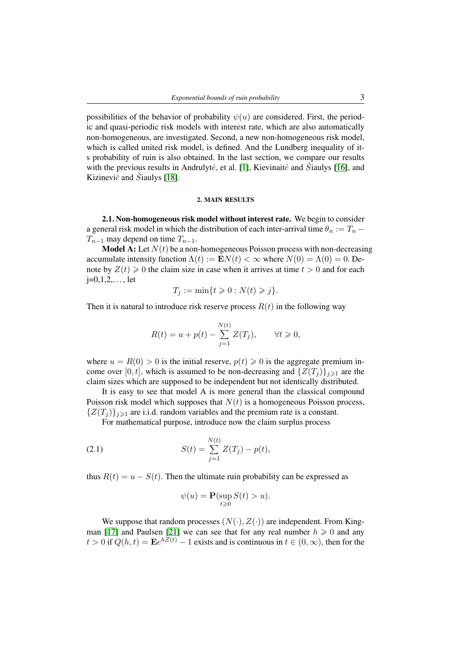possibilities of the behavior of probability  $\psi(u)$  are considered. First, the periodic and quasi-periodic risk models with interest rate, which are also automatically non-homogeneous, are investigated. Second, a new non-homogeneous risk model, which is called united risk model, is defined. And the Lundberg inequality of its probability of ruin is also obtained. In the last section, we compare our results with the previous results in Andrulyte, et al. [\[1\]](#page-18-15), Kievinaite and  $\check{S}$ iaulys [\[16\]](#page-18-16), and Kizinevič and  $\check{S}$ iaulys [\[18\]](#page-18-17).

#### 2. MAIN RESULTS

<span id="page-2-2"></span><span id="page-2-0"></span>2.1. Non-homogeneous risk model without interest rate. We begin to consider a general risk model in which the distribution of each inter-arrival time  $\theta_n := T_n T_{n-1}$  may depend on time  $T_{n-1}$ .

**Model A:** Let  $N(t)$  be a non-homogeneous Poisson process with non-decreasing accumulate intensity function  $\Lambda(t) := \mathbf{E} N(t) < \infty$  where  $N(0) = \Lambda(0) = 0$ . Denote by  $Z(t) \geq 0$  the claim size in case when it arrives at time  $t > 0$  and for each  $j=0,1,2,...$ , let

$$
T_j := \min\{t \geq 0 : N(t) \geq j\}.
$$

Then it is natural to introduce risk reserve process  $R(t)$  in the following way

$$
R(t) = u + p(t) - \sum_{j=1}^{N(t)} Z(T_j), \qquad \forall t \geq 0,
$$

where  $u = R(0) > 0$  is the initial reserve,  $p(t) \ge 0$  is the aggregate premium income over [0, t], which is assumed to be non-decreasing and  $\{Z(T_i)\}_{i\geq 1}$  are the claim sizes which are supposed to be independent but not identically distributed.

It is easy to see that model A is more general than the classical compound Poisson risk model which supposes that  $N(t)$  is a homogeneous Poisson process,  ${Z(T_i)}_{i\geq 1}$  are i.i.d. random variables and the premium rate is a constant.

For mathematical purpose, introduce now the claim surplus process

<span id="page-2-1"></span>(2.1) 
$$
S(t) = \sum_{j=1}^{N(t)} Z(T_j) - p(t),
$$

thus  $R(t) = u - S(t)$ . Then the ultimate ruin probability can be expressed as

$$
\psi(u) = \mathbf{P}(\sup_{t \ge 0} S(t) > u).
$$

We suppose that random processes  $(N(\cdot), Z(\cdot))$  are independent. From King-man [\[17\]](#page-18-18) and Paulsen [\[21\]](#page-18-19) we can see that for any real number  $h \ge 0$  and any  $t > 0$  if  $Q(h, t) = \mathbf{E}e^{hZ(t)} - 1$  exists and is continuous in  $t \in (0, \infty)$ , then for the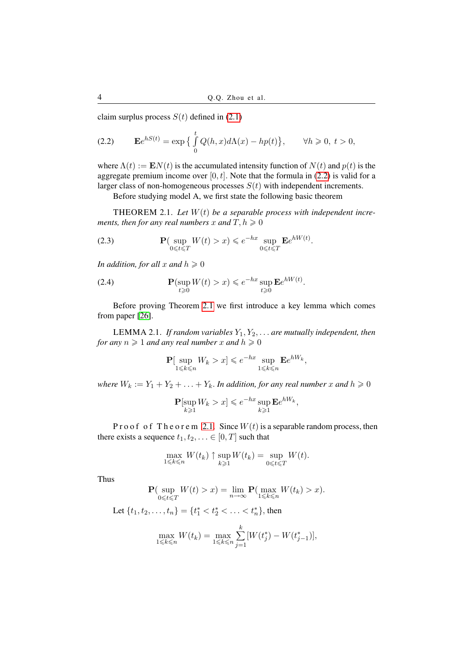claim surplus process  $S(t)$  defined in [\(2.1\)](#page-2-1)

<span id="page-3-0"></span>(2.2) 
$$
\mathbf{E}e^{hS(t)} = \exp\left\{\int\limits_0^t Q(h,x)d\Lambda(x) - hp(t)\right\}, \quad \forall h \geq 0, t > 0,
$$

where  $\Lambda(t) := \mathbf{E} N(t)$  is the accumulated intensity function of  $N(t)$  and  $p(t)$  is the aggregate premium income over  $[0, t]$ . Note that the formula in [\(2.2\)](#page-3-0) is valid for a larger class of non-homogeneous processes  $S(t)$  with independent increments.

Before studying model A, we first state the following basic theorem

<span id="page-3-1"></span>THEOREM 2.1. *Let* W(t) *be a separable process with independent increments, then for any real numbers* x and  $T, h \geq 0$ 

<span id="page-3-3"></span>(2.3) 
$$
\mathbf{P}(\sup_{0 \le t \le T} W(t) > x) \le e^{-hx} \sup_{0 \le t \le T} \mathbf{E} e^{hW(t)}.
$$

*In addition, for all*  $x$  *and*  $h \ge 0$ 

<span id="page-3-4"></span>(2.4) 
$$
\mathbf{P}(\sup_{t\geqslant 0} W(t) > x) \leqslant e^{-hx} \sup_{t\geqslant 0} \mathbf{E} e^{hW(t)}.
$$

Before proving Theorem [2.1](#page-3-1) we first introduce a key lemma which comes from paper [\[26\]](#page-18-20).

<span id="page-3-2"></span>LEMMA 2.1. *If random variables* Y1, Y2, . . . *are mutually independent, then for any*  $n \geq 1$  *and any real number* x *and*  $h \geq 0$ 

$$
\mathbf{P}[\sup_{1\leq k\leq n}W_k > x] \leqslant e^{-hx}\sup_{1\leqslant k\leqslant n}\mathbf{E}e^{hW_k},
$$

*where*  $W_k := Y_1 + Y_2 + \ldots + Y_k$ . *In addition, for any real number* x and  $h \ge 0$ 

$$
\mathbf{P}[\sup_{k\geq 1} W_k > x] \leqslant e^{-hx} \sup_{k\geqslant 1} \mathbf{E} e^{hW_k},
$$

P r o o f o f T h e o r e m [2.1.](#page-3-1) Since  $W(t)$  is a separable random process, then there exists a sequence  $t_1, t_2, \ldots \in [0, T]$  such that

$$
\max_{1 \leq k \leq n} W(t_k) \uparrow \sup_{k \geq 1} W(t_k) = \sup_{0 \leq t \leq T} W(t).
$$

Thus

$$
\mathbf{P}(\sup_{0 \le t \le T} W(t) > x) = \lim_{n \to \infty} \mathbf{P}(\max_{1 \le k \le n} W(t_k) > x).
$$
  
Let  $\{t_1, t_2, \dots, t_n\} = \{t_1^* < t_2^* < \dots < t_n^*\},$  then

$$
\max_{1 \leq k \leq n} W(t_k) = \max_{1 \leq k \leq n} \sum_{j=1}^{k} [W(t_j^*) - W(t_{j-1}^*)],
$$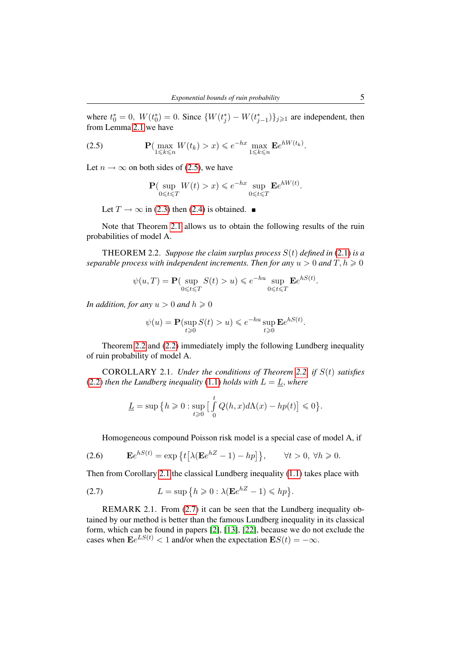where  $t_0^* = 0$ ,  $W(t_0^*) = 0$ . Since  $\{W(t_j^*) - W(t_{j-1}^*)\}_{j \geq 1}$  are independent, then from Lemma [2.1](#page-3-2) we have

<span id="page-4-0"></span>(2.5) 
$$
\mathbf{P}(\max_{1 \leq k \leq n} W(t_k) > x) \leq e^{-hx} \max_{1 \leq k \leq n} \mathbf{E} e^{hW(t_k)}.
$$

Let  $n \to \infty$  on both sides of [\(2.5\)](#page-4-0), we have

$$
\mathbf{P}(\sup_{0 \le t \le T} W(t) > x) \le e^{-hx} \sup_{0 \le t \le T} \mathbf{E}e^{hW(t)}.
$$

Let  $T \to \infty$  in [\(2.3\)](#page-3-3) then [\(2.4\)](#page-3-4) is obtained.

Note that Theorem [2.1](#page-3-1) allows us to obtain the following results of the ruin probabilities of model A.

<span id="page-4-1"></span>THEOREM 2.2. *Suppose the claim surplus process* S(t) *defined in* [\(2.1\)](#page-2-1) *is a separable process with independent increments. Then for any*  $u > 0$  *and*  $T, h \ge 0$ 

$$
\psi(u,T) = \mathbf{P}(\sup_{0 \le t \le T} S(t) > u) \le e^{-hu} \sup_{0 \le t \le T} \mathbf{E}e^{hS(t)}.
$$

*In addition, for any*  $u > 0$  *and*  $h \ge 0$ 

$$
\psi(u) = \mathbf{P}(\sup_{t \ge 0} S(t) > u) \le e^{-hu} \sup_{t \ge 0} \mathbf{E} e^{hS(t)}.
$$

Theorem [2.2](#page-4-1) and [\(2.2\)](#page-3-0) immediately imply the following Lundberg inequality of ruin probability of model A.

<span id="page-4-2"></span>COROLLARY 2.1. *Under the conditions of Theorem [2.2,](#page-4-1) if* S(t) *satisfies* [\(2.2\)](#page-3-0) *then the Lundberg inequality* [\(1.1\)](#page-1-0) *holds with*  $L = L$ *, where* 

$$
\underline{L} = \sup \big\{ h \geqslant 0 : \sup_{t \geqslant 0} \big[ \int\limits_0^t Q(h,x) d \Lambda(x) - h p(t) \big] \leqslant 0 \big\}.
$$

Homogeneous compound Poisson risk model is a special case of model A, if

<span id="page-4-5"></span>(2.6) 
$$
\mathbf{E}e^{hS(t)} = \exp\left\{t\big[\lambda(\mathbf{E}e^{hZ}-1)-hp\big]\right\}, \qquad \forall t > 0, \ \forall h \geq 0.
$$

Then from Corollary [2.1](#page-4-2) the classical Lundberg inequality [\(1.1\)](#page-1-0) takes place with

<span id="page-4-3"></span>(2.7) 
$$
L = \sup \{ h \geqslant 0 : \lambda (\mathbf{E}e^{hZ} - 1) \leqslant h p \}.
$$

<span id="page-4-4"></span>REMARK 2.1. From [\(2.7\)](#page-4-3) it can be seen that the Lundberg inequality obtained by our method is better than the famous Lundberg inequality in its classical form, which can be found in papers [\[2\]](#page-18-6), [\[13\]](#page-18-7), [\[22\]](#page-18-5), because we do not exclude the cases when  $\mathbf{E}e^{LS(t)} < 1$  and/or when the expectation  $\mathbf{E}S(t) = -\infty$ .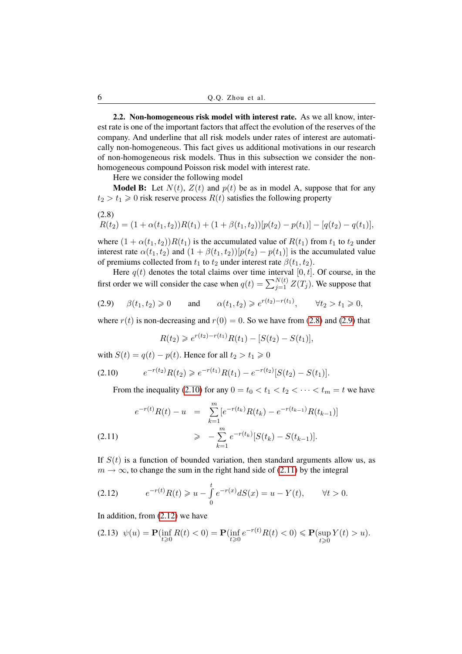2.2. Non-homogeneous risk model with interest rate. As we all know, interest rate is one of the important factors that affect the evolution of the reserves of the company. And underline that all risk models under rates of interest are automatically non-homogeneous. This fact gives us additional motivations in our research of non-homogeneous risk models. Thus in this subsection we consider the nonhomogeneous compound Poisson risk model with interest rate.

Here we consider the following model

**Model B:** Let  $N(t)$ ,  $Z(t)$  and  $p(t)$  be as in model A, suppose that for any  $t_2 > t_1 \geq 0$  risk reserve process  $R(t)$  satisfies the following property

$$
R(t_2) = (1 + \alpha(t_1, t_2))R(t_1) + (1 + \beta(t_1, t_2))[p(t_2) - p(t_1)] - [q(t_2) - q(t_1)],
$$

where  $(1 + \alpha(t_1, t_2))R(t_1)$  is the accumulated value of  $R(t_1)$  from  $t_1$  to  $t_2$  under interest rate  $\alpha(t_1, t_2)$  and  $(1 + \beta(t_1, t_2))[p(t_2) - p(t_1)]$  is the accumulated value of premiums collected from  $t_1$  to  $t_2$  under interest rate  $\beta(t_1, t_2)$ .

Here  $q(t)$  denotes the total claims over time interval [0, t]. Of course, in the first order we will consider the case when  $q(t) = \sum_{j=1}^{N(t)} Z(T_j)$ . We suppose that

<span id="page-5-1"></span>
$$
(2.9) \qquad \beta(t_1, t_2) \geq 0 \qquad \text{and} \qquad \alpha(t_1, t_2) \geq e^{r(t_2) - r(t_1)}, \qquad \forall t_2 > t_1 \geq 0,
$$

where  $r(t)$  is non-decreasing and  $r(0) = 0$ . So we have from [\(2.8\)](#page-5-0) and [\(2.9\)](#page-5-1) that

$$
R(t_2) \geqslant e^{r(t_2)-r(t_1)}R(t_1)-[S(t_2)-S(t_1)],
$$

with  $S(t) = q(t) - p(t)$ . Hence for all  $t_2 > t_1 \ge 0$ 

<span id="page-5-2"></span>
$$
(2.10) \t e^{-r(t_2)} R(t_2) \geq e^{-r(t_1)} R(t_1) - e^{-r(t_2)} [S(t_2) - S(t_1)].
$$

<span id="page-5-3"></span>From the inequality [\(2.10\)](#page-5-2) for any  $0 = t_0 < t_1 < t_2 < \cdots < t_m = t$  we have

$$
e^{-r(t)}R(t) - u = \sum_{k=1}^{m} [e^{-r(t_k)}R(t_k) - e^{-r(t_{k-1})}R(t_{k-1})]
$$
  
(2.11) 
$$
\geq -\sum_{k=1}^{m} e^{-r(t_k)}[S(t_k) - S(t_{k-1})].
$$

If  $S(t)$  is a function of bounded variation, then standard arguments allow us, as  $m \to \infty$ , to change the sum in the right hand side of [\(2.11\)](#page-5-3) by the integral

<span id="page-5-4"></span>(2.12) 
$$
e^{-r(t)}R(t) \geq u - \int_{0}^{t} e^{-r(x)}dS(x) = u - Y(t), \qquad \forall t > 0.
$$

In addition, from  $(2.12)$  we have

$$
(2.13) \ \psi(u) = \mathbf{P}(\inf_{t \ge 0} R(t) < 0) = \mathbf{P}(\inf_{t \ge 0} e^{-r(t)} R(t) < 0) \le \mathbf{P}(\sup_{t \ge 0} Y(t) > u).
$$

<span id="page-5-0"></span> $(2.8)$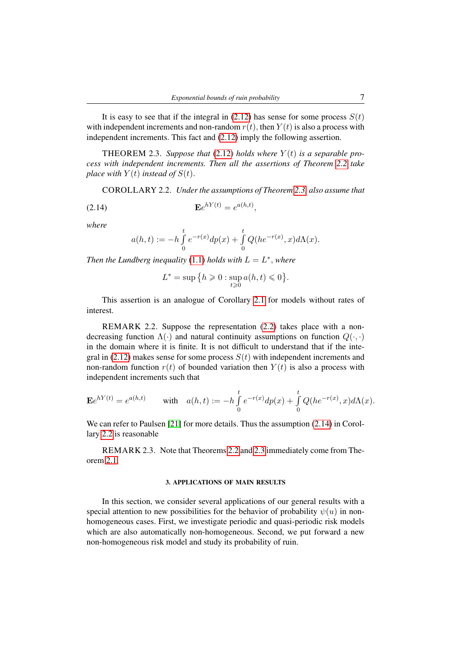It is easy to see that if the integral in  $(2.12)$  has sense for some process  $S(t)$ with independent increments and non-random  $r(t)$ , then  $Y(t)$  is also a process with independent increments. This fact and [\(2.12\)](#page-5-4) imply the following assertion.

<span id="page-6-1"></span>THEOREM 2.3. Suppose that  $(2.12)$  holds where  $Y(t)$  is a separable pro*cess with independent increments. Then all the assertions of Theorem [2.2](#page-4-1) take place with*  $Y(t)$  *instead of*  $S(t)$ *.* 

<span id="page-6-3"></span>COROLLARY 2.2. *Under the assumptions of Theorem [2.3,](#page-6-1) also assume that*

<span id="page-6-2"></span>
$$
\mathbf{E}e^{hY(t)} = e^{a(h,t)},
$$

*where*

$$
a(h,t):=-h\int\limits_0^te^{-r(x)}dp(x)+\int\limits_0^tQ(he^{-r(x)},x)d\Lambda(x).
$$

*Then the Lundberg inequality* [\(1.1\)](#page-1-0) *holds with*  $L = L^*$ , *where* 

$$
L^* = \sup \big\{ h \geqslant 0 : \sup_{t \geqslant 0} a(h, t) \leqslant 0 \big\}.
$$

This assertion is an analogue of Corollary [2.1](#page-4-2) for models without rates of interest.

REMARK 2.2. Suppose the representation [\(2.2\)](#page-3-0) takes place with a nondecreasing function  $\Lambda(\cdot)$  and natural continuity assumptions on function  $Q(\cdot, \cdot)$ in the domain where it is finite. It is not difficult to understand that if the integral in  $(2.12)$  makes sense for some process  $S(t)$  with independent increments and non-random function  $r(t)$  of bounded variation then  $Y(t)$  is also a process with independent increments such that

$$
\mathbf{E}e^{hY(t)} = e^{a(h,t)} \quad \text{with} \quad a(h,t) := -h \int_{0}^{t} e^{-r(x)} dp(x) + \int_{0}^{t} Q(he^{-r(x)}, x) d\Lambda(x).
$$

We can refer to Paulsen [\[21\]](#page-18-19) for more details. Thus the assumption  $(2.14)$  in Corollary [2.2](#page-6-3) is reasonable

REMARK 2.3. Note that Theorems [2.2](#page-4-1) and [2.3](#page-6-1) immediately come from Theorem [2.1.](#page-3-1)

### 3. APPLICATIONS OF MAIN RESULTS

<span id="page-6-0"></span>In this section, we consider several applications of our general results with a special attention to new possibilities for the behavior of probability  $\psi(u)$  in nonhomogeneous cases. First, we investigate periodic and quasi-periodic risk models which are also automatically non-homogeneous. Second, we put forward a new non-homogeneous risk model and study its probability of ruin.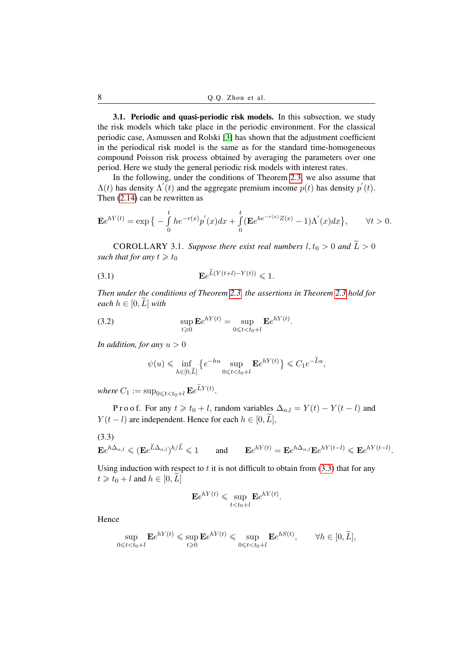3.1. Periodic and quasi-periodic risk models. In this subsection, we study the risk models which take place in the periodic environment. For the classical periodic case, Asmussen and Rolski [\[3\]](#page-18-21) has shown that the adjustment coefficient in the periodical risk model is the same as for the standard time-homogeneous compound Poisson risk process obtained by averaging the parameters over one period. Here we study the general periodic risk models with interest rates.

In the following, under the conditions of Theorem [2.3,](#page-6-1) we also assume that  $\Lambda(t)$  has density  $\Lambda'(t)$  and the aggregate premium income  $p(t)$  has density  $p'(t)$ . Then [\(2.14\)](#page-6-2) can be rewritten as

$$
\mathbf{E}e^{hY(t)} = \exp\Big\{-\int\limits_0^t he^{-r(x)}p'(x)dx + \int\limits_0^t (\mathbf{E}e^{he^{-r(x)}Z(x)} - 1)\Lambda'(x)dx\Big\}, \qquad \forall t > 0.
$$

<span id="page-7-1"></span>COROLLARY 3.1. Suppose there exist real numbers  $l, t_0 > 0$  and  $\widetilde{L} > 0$ *such that for any*  $t \geq t_0$ 

$$
\mathbf{E}e^{L(Y(t+l)-Y(t))} \leq 1.
$$

*Then under the conditions of Theorem [2.3,](#page-6-1) the assertions in Theorem [2.3](#page-6-1) hold for each*  $h \in [0, L]$  *with* 

(3.2) 
$$
\sup_{t \geq 0} \mathbf{E} e^{hY(t)} = \sup_{0 \leq t < t_0 + l} \mathbf{E} e^{hY(t)}.
$$

*In addition, for any*  $u > 0$ 

$$
\psi(u) \leqslant \inf_{h \in [0,\widetilde{L}]} \left\{ e^{-hu} \sup_{0 \leqslant t < t_0 + l} \mathbf{E} e^{hY(t)} \right\} \leqslant C_1 e^{-\widetilde{L}u},
$$

where  $C_1 := \sup_{0 \leqslant t < t_0 + l} \mathbf{E} e^{LY(t)}$ .

P r o o f. For any  $t \geq t_0 + l$ , random variables  $\Delta_{n,l} = Y(t) - Y(t - l)$  and  $Y(t - l)$  are independent. Hence for each  $h \in [0, \tilde{L}],$ 

<span id="page-7-0"></span>
$$
(3.3)
$$

$$
\mathbf{E}e^{h\Delta_{n,l}} \leqslant (\mathbf{E}e^{\widetilde{L}\Delta_{n,l}})^{h/\widetilde{L}} \leqslant 1 \quad \text{and} \quad \mathbf{E}e^{hY(t)} = \mathbf{E}e^{h\Delta_{n,l}}\mathbf{E}e^{hY(t-l)} \leqslant \mathbf{E}e^{hY(t-l)}.
$$

Using induction with respect to  $t$  it is not difficult to obtain from  $(3.3)$  that for any  $t \geq t_0 + l$  and  $h \in [0, L]$ 

$$
\mathbf{E}e^{hY(t)} \leqslant \sup_{t < t_0 + l} \mathbf{E}e^{hY(t)}.
$$

Hence

$$
\sup_{0 \leq t < t_0 + l} \mathbf{E} e^{hY(t)} \leq \sup_{t \geq 0} \mathbf{E} e^{hY(t)} \leq \sup_{0 \leq t < t_0 + l} \mathbf{E} e^{hS(t)}, \qquad \forall h \in [0, \widetilde{L}],
$$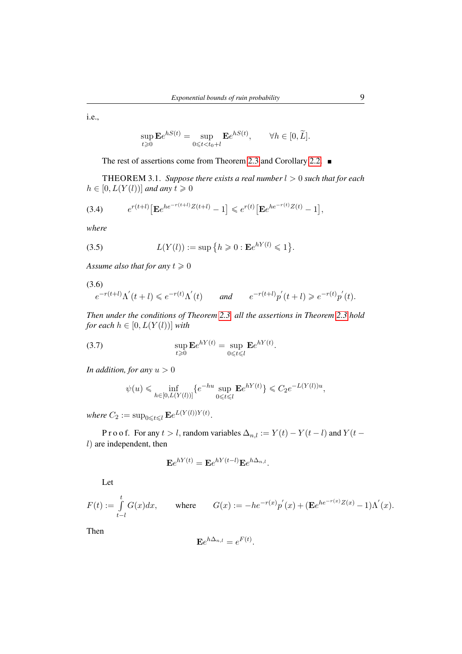i.e.,

$$
\sup_{t\geq 0} \mathbf{E} e^{hS(t)} = \sup_{0\leq t < t_0+l} \mathbf{E} e^{hS(t)}, \qquad \forall h \in [0, \widetilde{L}].
$$

The rest of assertions come from Theorem [2.3](#page-6-1) and Corollary [2.2.](#page-6-3)

<span id="page-8-2"></span>THEOREM 3.1. *Suppose there exists a real number* l > 0 *such that for each*  $h \in [0, L(Y(l))]$  *and any*  $t \geq 0$ 

<span id="page-8-0"></span>(3.4) 
$$
e^{r(t+l)}\big[\mathbf{E}e^{he^{-r(t+l)}Z(t+l)} - 1\big] \leq e^{r(t)}\big[\mathbf{E}e^{he^{-r(t)}Z(t)} - 1\big],
$$

*where*

<span id="page-8-3"></span>(3.5) 
$$
L(Y(l)) := \sup \{ h \geq 0 : \mathbf{E}e^{hY(l)} \leq 1 \}.
$$

*Assume also that for any*  $t \ge 0$ 

<span id="page-8-1"></span>(3.6)

$$
e^{-r(t+l)}\Lambda^{'}(t+l) \leq e^{-r(t)}\Lambda^{'}(t) \qquad \text{and} \qquad e^{-r(t+l)}p^{'}(t+l) \geq e^{-r(t)}p^{'}(t).
$$

*Then under the conditions of Theorem [2.3,](#page-6-1) all the assertions in Theorem [2.3](#page-6-1) hold for each*  $h \in [0, L(Y(l))]$  *with* 

(3.7) 
$$
\sup_{t\geqslant 0} \mathbf{E} e^{hY(t)} = \sup_{0\leqslant t\leqslant l} \mathbf{E} e^{hY(t)}.
$$

*In addition, for any*  $u > 0$ 

$$
\psi(u) \le \inf_{h \in [0, L(Y(l))]} \{e^{-hu} \sup_{0 \le t \le l} \mathbf{E} e^{hY(t)}\} \le C_2 e^{-L(Y(l))u},
$$

where  $C_2 := \sup_{0 \leq t \leq l} \mathbf{E} e^{L(Y(l))Y(t)}$ .

P r o o f. For any  $t > l$ , random variables  $\Delta_{n,l} := Y(t) - Y(t-l)$  and  $Y(t-l)$  $l$ ) are independent, then

$$
\mathbf{E}e^{hY(t)} = \mathbf{E}e^{hY(t-l)}\mathbf{E}e^{h\Delta_{n,l}}.
$$

Let

 $F(t) := \int_0^t$ t*−*l  $G(x)dx$ , where  $G(x) := -he^{-r(x)}p'(x) + (\mathbf{E}e^{he^{-r(x)}Z(x)} - 1)\Lambda'(x)$ .

Then

$$
\mathbf{E}e^{h\Delta_{n,l}}=e^{F(t)}.
$$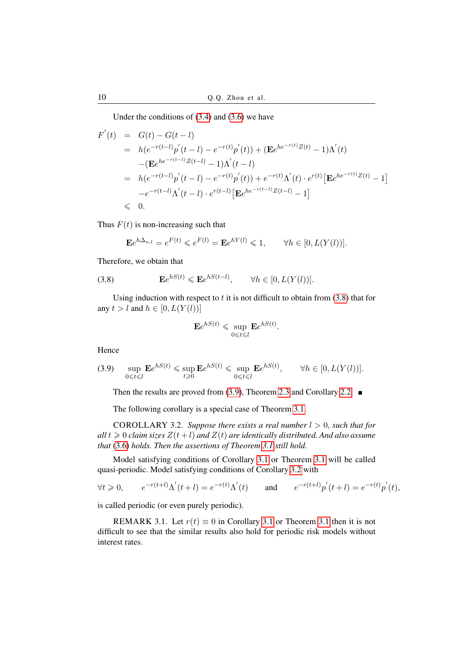Under the conditions of [\(3.4\)](#page-8-0) and [\(3.6\)](#page-8-1) we have

$$
F'(t) = G(t) - G(t - l)
$$
  
=  $h(e^{-r(t-l)}p'(t-l) - e^{-r(t)}p'(t)) + (\mathbf{E}e^{he^{-r(t)}Z(t)} - 1)\Lambda'(t)$   
 $- (\mathbf{E}e^{he^{-r(t-l)}Z(t-l)} - 1)\Lambda'(t - l)$   
=  $h(e^{-r(t-l)}p'(t-l) - e^{-r(t)}p'(t)) + e^{-r(t)}\Lambda'(t) \cdot e^{r(t)} [\mathbf{E}e^{he^{-r(t)}Z(t)} - 1]$   
 $-e^{-r(t-l)}\Lambda'(t - l) \cdot e^{r(t-l)} [\mathbf{E}e^{he^{-r(t-l)}Z(t-l)} - 1]$   
 $\leq 0.$ 

Thus  $F(t)$  is non-increasing such that

$$
\mathbf{E}e^{h\Delta_{n,l}} = e^{F(t)} \leqslant e^{F(l)} = \mathbf{E}e^{hY(l)} \leqslant 1, \qquad \forall h \in [0, L(Y(l))].
$$

Therefore, we obtain that

<span id="page-9-0"></span>(3.8) 
$$
\mathbf{E}e^{hS(t)} \leqslant \mathbf{E}e^{hS(t-l)}, \qquad \forall h \in [0, L(Y(l))].
$$

Using induction with respect to  $t$  it is not difficult to obtain from  $(3.8)$  that for any  $t > l$  and  $h \in [0, L(Y(l))]$ 

$$
\mathbf{E}e^{hS(t)} \leqslant \sup_{0 \leqslant t \leqslant l} \mathbf{E}e^{hS(t)}.
$$

Hence

<span id="page-9-1"></span>
$$
(3.9) \quad \sup_{0 \le t \le l} \mathbf{E}e^{hS(t)} \le \sup_{t \ge 0} \mathbf{E}e^{hS(t)} \le \sup_{0 \le t \le l} \mathbf{E}e^{hS(t)}, \qquad \forall h \in [0, L(Y(l))].
$$

Then the results are proved from [\(3.9\)](#page-9-1), Theorem [2.3](#page-6-1) and Corollary [2.2.](#page-6-3)  $\blacksquare$ 

The following corollary is a special case of Theorem [3.1.](#page-8-2)

<span id="page-9-2"></span>COROLLARY 3.2. *Suppose there exists a real number*  $l > 0$ *, such that for*  $all t \geq 0$  *claim sizes*  $Z(t+l)$  *and*  $Z(t)$  *are identically distributed. And also assume that* [\(3.6\)](#page-8-1) *holds. Then the assertions of Theorem [3.1](#page-8-2) still hold.*

Model satisfying conditions of Corollary [3.1](#page-7-1) or Theorem [3.1](#page-8-2) will be called quasi-periodic. Model satisfying conditions of Corollary [3.2](#page-9-2) with

$$
\forall t \ge 0
$$
,  $e^{-r(t+l)} \Lambda'(t+l) = e^{-r(t)} \Lambda'(t)$  and  $e^{-r(t+l)} p'(t+l) = e^{-r(t)} p'(t)$ ,

is called periodic (or even purely periodic).

REMARK [3.1](#page-8-2). Let  $r(t) \equiv 0$  in Corollary 3.1 or Theorem 3.1 then it is not difficult to see that the similar results also hold for periodic risk models without interest rates.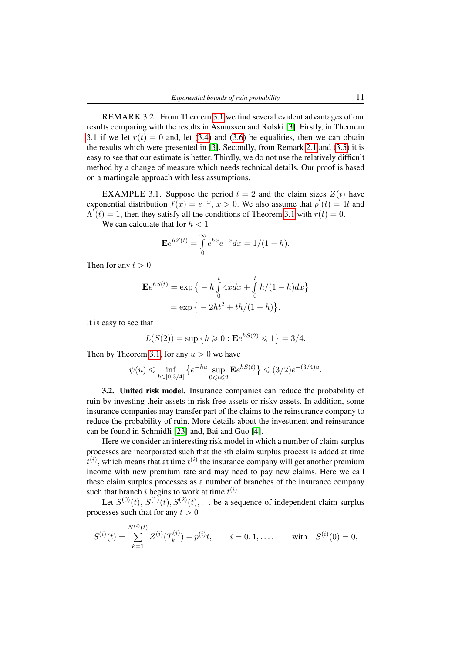REMARK 3.2. From Theorem [3.1](#page-8-2) we find several evident advantages of our results comparing with the results in Asmussen and Rolski [\[3\]](#page-18-21). Firstly, in Theorem [3.1](#page-8-2) if we let  $r(t) = 0$  and, let [\(3.4\)](#page-8-0) and [\(3.6\)](#page-8-1) be equalities, then we can obtain the results which were presented in [\[3\]](#page-18-21). Secondly, from Remark [2.1](#page-4-4) and [\(3.5\)](#page-8-3) it is easy to see that our estimate is better. Thirdly, we do not use the relatively difficult method by a change of measure which needs technical details. Our proof is based on a martingale approach with less assumptions.

EXAMPLE 3.1. Suppose the period  $l = 2$  and the claim sizes  $Z(t)$  have exponential distribution  $f(x) = e^{-x}$ ,  $x > 0$ . We also assume that  $p'(t) = 4t$  and  $\Lambda(t) = 1$ , then they satisfy all the conditions of Theorem [3.1](#page-8-2) with  $r(t) = 0$ .

We can calculate that for  $h < 1$ 

$$
\mathbf{E}e^{hZ(t)} = \int_{0}^{\infty} e^{hx} e^{-x} dx = 1/(1-h).
$$

Then for any  $t > 0$ 

$$
\mathbf{E}e^{hS(t)} = \exp \left\{ -h \int_{0}^{t} 4x dx + \int_{0}^{t} h/(1-h) dx \right\}
$$

$$
= \exp \left\{ -2ht^{2} + th/(1-h) \right\}.
$$

It is easy to see that

$$
L(S(2)) = \sup\{h \ge 0 : \mathbf{E}e^{hS(2)} \le 1\} = 3/4.
$$

Then by Theorem [3.1,](#page-8-2) for any  $u > 0$  we have

$$
\psi(u) \leqslant \inf_{h \in [0, 3/4]} \left\{ e^{-hu} \sup_{0 \leqslant t \leqslant 2} \mathbf{E} e^{h S(t)} \right\} \leqslant (3/2) e^{-(3/4)u}.
$$

3.2. United risk model. Insurance companies can reduce the probability of ruin by investing their assets in risk-free assets or risky assets. In addition, some insurance companies may transfer part of the claims to the reinsurance company to reduce the probability of ruin. More details about the investment and reinsurance can be found in Schmidli [\[23\]](#page-18-22) and, Bai and Guo [\[4\]](#page-18-23).

Here we consider an interesting risk model in which a number of claim surplus processes are incorporated such that the ith claim surplus process is added at time  $t^{(i)}$ , which means that at time  $t^{(i)}$  the insurance company will get another premium income with new premium rate and may need to pay new claims. Here we call these claim surplus processes as a number of branches of the insurance company such that branch *i* begins to work at time  $t^{(i)}$ .

Let  $S^{(0)}(t)$ ,  $S^{(1)}(t)$ ,  $S^{(2)}(t)$ ,... be a sequence of independent claim surplus processes such that for any  $t > 0$ 

$$
S^{(i)}(t) = \sum_{k=1}^{N^{(i)}(t)} Z^{(i)}(T_k^{(i)}) - p^{(i)}t, \qquad i = 0, 1, ..., \qquad \text{with} \quad S^{(i)}(0) = 0,
$$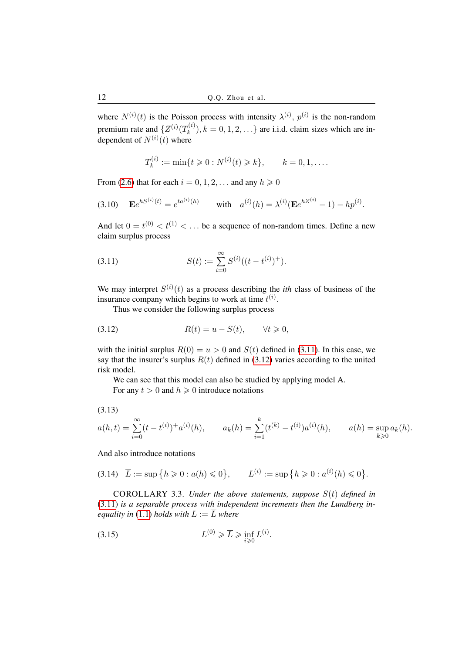where  $N^{(i)}(t)$  is the Poisson process with intensity  $\lambda^{(i)}$ ,  $p^{(i)}$  is the non-random premium rate and  $\{Z^{(i)}(T_k^{(i)})\}$  $(k_k^{(i)})$ ,  $k = 0, 1, 2, \ldots$ } are i.i.d. claim sizes which are independent of  $N^{(i)}(t)$  where

$$
T_k^{(i)} := \min\{t \ge 0 : N^{(i)}(t) \ge k\}, \qquad k = 0, 1, \dots.
$$

From [\(2.6\)](#page-4-5) that for each  $i = 0, 1, 2, \ldots$  and any  $h \ge 0$ 

<span id="page-11-3"></span>(3.10) 
$$
\mathbf{E}e^{hS^{(i)}(t)} = e^{ta^{(i)}(h)}
$$
 with  $a^{(i)}(h) = \lambda^{(i)}(\mathbf{E}e^{hZ^{(i)}} - 1) - hp^{(i)}$ .

And let  $0 = t^{(0)} < t^{(1)} < \dots$  be a sequence of non-random times. Define a new claim surplus process

<span id="page-11-0"></span>(3.11) 
$$
S(t) := \sum_{i=0}^{\infty} S^{(i)}((t-t^{(i)})^+).
$$

We may interpret  $S^{(i)}(t)$  as a process describing the *ith* class of business of the insurance company which begins to work at time  $t^{(i)}$ .

Thus we consider the following surplus process

<span id="page-11-1"></span>
$$
(3.12) \t R(t) = u - S(t), \t \forall t \geq 0,
$$

with the initial surplus  $R(0) = u > 0$  and  $S(t)$  defined in [\(3.11\)](#page-11-0). In this case, we say that the insurer's surplus  $R(t)$  defined in [\(3.12\)](#page-11-1) varies according to the united risk model.

We can see that this model can also be studied by applying model A. For any  $t > 0$  and  $h \ge 0$  introduce notations

<span id="page-11-4"></span>(3.13)

$$
a(h,t) = \sum_{i=0}^{\infty} (t - t^{(i)}) + a^{(i)}(h), \qquad a_k(h) = \sum_{i=1}^k (t^{(k)} - t^{(i)}) a^{(i)}(h), \qquad a(h) = \sup_{k \geq 0} a_k(h).
$$

# And also introduce notations

$$
(3.14) \quad \overline{L} := \sup \{ h \geq 0 : a(h) \leq 0 \}, \qquad L^{(i)} := \sup \{ h \geq 0 : a^{(i)}(h) \leq 0 \}.
$$

COROLLARY 3.3. *Under the above statements, suppose* S(t) *defined in* [\(3.11\)](#page-11-0) *is a separable process with independent increments then the Lundberg inequality in* [\(1.1\)](#page-1-0) *holds with*  $L := \overline{L}$  *where* 

<span id="page-11-2"></span>
$$
(3.15) \tL^{(0)} \geqslant \overline{L} \geqslant \inf_{i \geqslant 0} L^{(i)}.
$$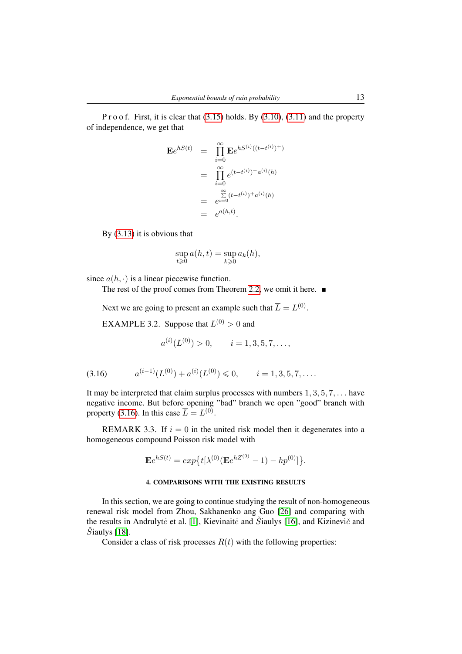P r o o f. First, it is clear that  $(3.15)$  holds. By  $(3.10)$ ,  $(3.11)$  and the property of independence, we get that

$$
\mathbf{E}e^{hS(t)} = \prod_{i=0}^{\infty} \mathbf{E}e^{hS^{(i)}((t-t^{(i)})^{+})}
$$
  
= 
$$
\prod_{i=0}^{\infty} e^{(t-t^{(i)})^{+}a^{(i)}(h)}
$$
  
= 
$$
\sum_{i=0}^{\infty} (t-t^{(i)})^{+}a^{(i)}(h)
$$
  
= 
$$
e^{a(h,t)}.
$$

By [\(3.13\)](#page-11-4) it is obvious that

$$
\sup_{t\geqslant 0}a(h,t)=\sup_{k\geqslant 0}a_k(h),
$$

since  $a(h, \cdot)$  is a linear piecewise function.

The rest of the proof comes from Theorem [2.2,](#page-4-1) we omit it here.  $\blacksquare$ 

Next we are going to present an example such that  $\overline{L} = L^{(0)}$ .

EXAMPLE 3.2. Suppose that  $L^{(0)} > 0$  and

$$
a^{(i)}(L^{(0)}) > 0, \qquad i = 1, 3, 5, 7, \dots,
$$

<span id="page-12-0"></span>
$$
(3.16) \t a^{(i-1)}(L^{(0)}) + a^{(i)}(L^{(0)}) \leq 0, \t i = 1, 3, 5, 7, \dots.
$$

It may be interpreted that claim surplus processes with numbers  $1, 3, 5, 7, \ldots$  have negative income. But before opening "bad" branch we open "good" branch with property [\(3.16\)](#page-12-0). In this case  $\overline{L} = L^{(0)}$ .

REMARK 3.3. If  $i = 0$  in the united risk model then it degenerates into a homogeneous compound Poisson risk model with

$$
\mathbf{E}e^{hS(t)} = exp\{t[\lambda^{(0)}(\mathbf{E}e^{hZ^{(0)}} - 1) - hp^{(0)}]\}.
$$

### 4. COMPARISONS WITH THE EXISTING RESULTS

In this section, we are going to continue studying the result of non-homogeneous renewal risk model from Zhou, Sakhanenko ang Guo [\[26\]](#page-18-20) and comparing with the results in Andrulyte et al. [\[1\]](#page-18-15), Kievinaite and  $\check{S}$ iaulys [\[16\]](#page-18-16), and Kizinevic<sup>̃</sup> and  $\dot{S}$ iaulys [\[18\]](#page-18-17).

Consider a class of risk processes  $R(t)$  with the following properties: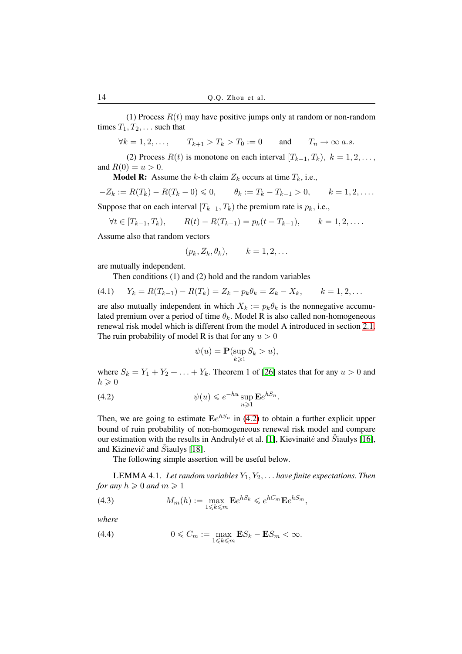(1) Process  $R(t)$  may have positive jumps only at random or non-random times  $T_1, T_2, \ldots$  such that

*∀k* = 1, 2, . . . ,  $T_{k+1} > T_k > T_0 := 0$  and  $T_n \to \infty$  *a.s.* 

(2) Process  $R(t)$  is monotone on each interval  $[T_{k-1}, T_k)$ ,  $k = 1, 2, \ldots$ , and  $R(0) = u > 0$ .

**Model R:** Assume the k-th claim  $Z_k$  occurs at time  $T_k$ , i.e.,

$$
-Z_k := R(T_k) - R(T_k - 0) \leq 0, \qquad \theta_k := T_k - T_{k-1} > 0, \qquad k = 1, 2, \dots.
$$

Suppose that on each interval  $[T_{k-1}, T_k)$  the premium rate is  $p_k$ , i.e.,

$$
\forall t \in [T_{k-1}, T_k), \qquad R(t) - R(T_{k-1}) = p_k(t - T_{k-1}), \qquad k = 1, 2, ....
$$

Assume also that random vectors

$$
(p_k, Z_k, \theta_k), \qquad k = 1, 2, \dots
$$

are mutually independent.

Then conditions (1) and (2) hold and the random variables

(4.1) 
$$
Y_k = R(T_{k-1}) - R(T_k) = Z_k - p_k \theta_k = Z_k - X_k, \qquad k = 1, 2, ...
$$

are also mutually independent in which  $X_k := p_k \theta_k$  is the nonnegative accumulated premium over a period of time  $\theta_k$ . Model R is also called non-homogeneous renewal risk model which is different from the model A introduced in section [2.1.](#page-2-2) The ruin probability of model R is that for any  $u > 0$ 

$$
\psi(u) = \mathbf{P}(\sup_{k \ge 1} S_k > u),
$$

where  $S_k = Y_1 + Y_2 + \ldots + Y_k$ . Theorem 1 of [\[26\]](#page-18-20) states that for any  $u > 0$  and  $h \geqslant 0$ 

<span id="page-13-0"></span>(4.2) 
$$
\psi(u) \leqslant e^{-hu} \sup_{n \geqslant 1} \mathbf{E} e^{hS_n}.
$$

Then, we are going to estimate  $\mathbf{E}e^{hS_n}$  in [\(4.2\)](#page-13-0) to obtain a further explicit upper bound of ruin probability of non-homogeneous renewal risk model and compare our estimation with the results in Andrulyte et al. [\[1\]](#page-18-15), Kievinaite and Šiaulys [\[16\]](#page-18-16), and Kizinevič and  $\tilde{S}$ iaulys [\[18\]](#page-18-17).

The following simple assertion will be useful below.

LEMMA 4.1. *Let random variables* Y1, Y2, . . . *have finite expectations. Then for any*  $h \geqslant 0$  *and*  $m \geqslant 1$ 

<span id="page-13-2"></span>(4.3) 
$$
M_m(h) := \max_{1 \leq k \leq m} \mathbf{E} e^{hS_k} \leqslant e^{hC_m} \mathbf{E} e^{hS_m},
$$

*where*

<span id="page-13-1"></span>(4.4) 
$$
0 \leq C_m := \max_{1 \leq k \leq m} \mathbf{E} S_k - \mathbf{E} S_m < \infty.
$$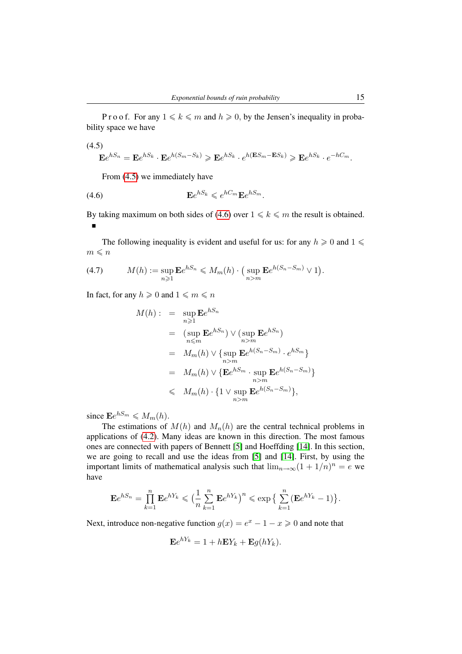P r o o f. For any  $1 \le k \le m$  and  $h \ge 0$ , by the Jensen's inequality in probability space we have

<span id="page-14-0"></span>(4.5)  
\n
$$
\mathbf{E}e^{hS_n} = \mathbf{E}e^{hS_k} \cdot \mathbf{E}e^{h(S_m - S_k)} \ge \mathbf{E}e^{hS_k} \cdot e^{h(\mathbf{E}S_m - \mathbf{E}S_k)} \ge \mathbf{E}e^{hS_k} \cdot e^{-hC_m}.
$$

From [\(4.5\)](#page-14-0) we immediately have

<span id="page-14-1"></span>
$$
\mathbf{E}e^{hS_k} \leqslant e^{hC_m}\mathbf{E}e^{hS_m}.
$$

By taking maximum on both sides of [\(4.6\)](#page-14-1) over  $1 \le k \le m$  the result is obtained. n

The following inequality is evident and useful for us: for any  $h \geq 0$  and  $1 \leq$  $m \leqslant n$ 

<span id="page-14-2"></span>(4.7) 
$$
M(h) := \sup_{n \geq 1} \mathbf{E} e^{hS_n} \leq M_m(h) \cdot \big( \sup_{n > m} \mathbf{E} e^{h(S_n - S_m)} \vee 1 \big).
$$

In fact, for any  $h \geqslant 0$  and  $1 \leqslant m \leqslant n$ 

$$
M(h) : = \sup_{n \geq 1} \mathbf{E}e^{hS_n}
$$
  
\n
$$
= (\sup_{n \leq m} \mathbf{E}e^{hS_n}) \vee (\sup_{n>m} \mathbf{E}e^{hS_n})
$$
  
\n
$$
= M_m(h) \vee {\sup_{n>m} \mathbf{E}e^{h(S_n - S_m)} \cdot e^{hS_m}}
$$
  
\n
$$
= M_m(h) \vee {\mathbf{E}e^{hS_m} \cdot \sup_{n>m} \mathbf{E}e^{h(S_n - S_m)}}
$$
  
\n
$$
\leq M_m(h) \cdot {\mathbf{1} \vee \sup_{n>m} \mathbf{E}e^{h(S_n - S_m)}}
$$

since  $\mathbf{E}e^{hS_m} \leqslant M_m(h)$ .

The estimations of  $M(h)$  and  $M_n(h)$  are the central technical problems in applications of [\(4.2\)](#page-13-0). Many ideas are known in this direction. The most famous ones are connected with papers of Bennett [\[5\]](#page-18-24) and Hoeffding [\[14\]](#page-18-25). In this section, we are going to recall and use the ideas from [\[5\]](#page-18-24) and [\[14\]](#page-18-25). First, by using the important limits of mathematical analysis such that  $\lim_{n\to\infty}(1+1/n)^n = e$  we have

$$
\mathbf{E}e^{hS_n} = \prod_{k=1}^n \mathbf{E}e^{hY_k} \leq \Big(\frac{1}{n}\sum_{k=1}^n \mathbf{E}e^{hY_k}\Big)^n \leq \exp\Big\{\sum_{k=1}^n (\mathbf{E}e^{hY_k} - 1)\Big\}.
$$

Next, introduce non-negative function  $g(x) = e^x - 1 - x \ge 0$  and note that

$$
\mathbf{E}e^{hY_k} = 1 + h\mathbf{E}Y_k + \mathbf{E}g(hY_k).
$$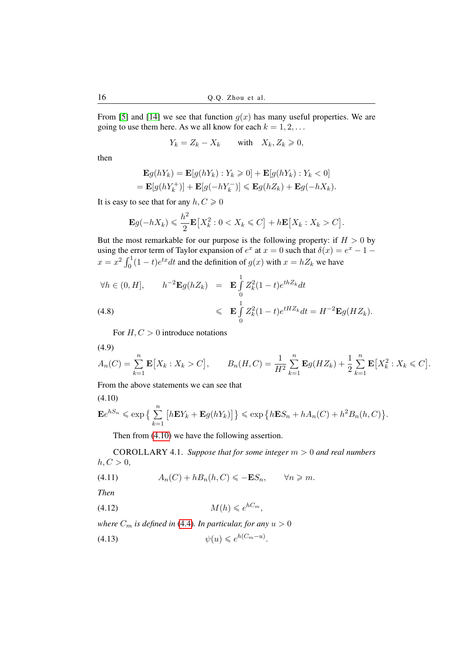From [\[5\]](#page-18-24) and [\[14\]](#page-18-25) we see that function  $g(x)$  has many useful properties. We are going to use them here. As we all know for each  $k = 1, 2, \ldots$ 

$$
Y_k = Z_k - X_k \quad \text{with} \quad X_k, Z_k \geqslant 0,
$$

then

$$
\mathbf{E}g(hY_k) = \mathbf{E}[g(hY_k) : Y_k \ge 0] + \mathbf{E}[g(hY_k) : Y_k < 0]
$$
\n
$$
= \mathbf{E}[g(hY_k^+)] + \mathbf{E}[g(-hY_k^-)] \le \mathbf{E}g(hZ_k) + \mathbf{E}g(-hX_k).
$$

It is easy to see that for any  $h, C \ge 0$ 

$$
\mathbf{E}g(-hX_k) \leqslant \frac{h^2}{2}\mathbf{E}\big[X_k^2: 0 < X_k \leqslant C\big] + h\mathbf{E}\big[X_k: X_k > C\big].
$$

But the most remarkable for our purpose is the following property: if  $H > 0$  by using the error term of Taylor expansion of  $e^x$  at  $x = 0$  such that  $\delta(x) = e^x - 1$  $x = x^2 \int_0^1 (1-t)e^{tx} dt$  and the definition of  $g(x)$  with  $x = hZ_k$  we have

<span id="page-15-5"></span>
$$
\forall h \in (0, H], \qquad h^{-2} \mathbf{E} g(hZ_k) = \mathbf{E} \int_0^1 Z_k^2 (1-t) e^{thZ_k} dt
$$
  
(4.8)  

$$
\leq \mathbf{E} \int_0^1 Z_k^2 (1-t) e^{tHZ_k} dt = H^{-2} \mathbf{E} g(HZ_k).
$$

For  $H, C > 0$  introduce notations

<span id="page-15-6"></span>
$$
(4.9)
$$

$$
A_n(C) = \sum_{k=1}^n \mathbf{E}[X_k : X_k > C], \qquad B_n(H, C) = \frac{1}{H^2} \sum_{k=1}^n \mathbf{E}g(HZ_k) + \frac{1}{2} \sum_{k=1}^n \mathbf{E}[X_k^2 : X_k \leq C].
$$

From the above statements we can see that

<span id="page-15-0"></span>
$$
(4.10)
$$

$$
\mathbf{E}e^{hS_n} \le \exp\big\{\sum_{k=1}^n \big[h\mathbf{E}Y_k + \mathbf{E}g(hY_k)\big]\big\} \le \exp\big\{h\mathbf{E}S_n + hA_n(C) + h^2B_n(h, C)\big\}.
$$

Then from [\(4.10\)](#page-15-0) we have the following assertion.

<span id="page-15-4"></span>COROLLARY 4.1. *Suppose that for some integer* m > 0 *and real numbers*  $h, C > 0$ ,

<span id="page-15-1"></span>
$$
(4.11) \t An(C) + hBn(h, C) \leqslant -\mathbf{E}Sn, \t \forall n \geqslant m.
$$

*Then*

<span id="page-15-3"></span>
$$
(4.12) \t\t M(h) \leqslant e^{hC_m},
$$

*where*  $C_m$  *is defined in* [\(4.4\)](#page-13-1)*. In particular, for any*  $u > 0$ 

<span id="page-15-2"></span>
$$
(4.13) \t\t \psi(u) \leqslant e^{h(C_m - u)}.
$$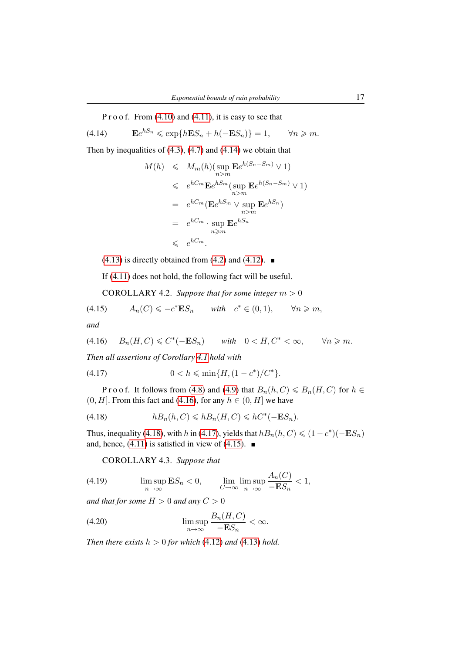P r o o f. From  $(4.10)$  and  $(4.11)$ , it is easy to see that

<span id="page-16-0"></span>(4.14) **E** $e^{hS_n}$  ≤ exp $\{hES_n + h(-ES_n)\} = 1$ ,  $\forall n \geq m$ .

Then by inequalities of  $(4.3)$ ,  $(4.7)$  and  $(4.14)$  we obtain that

$$
M(h) \leq M_m(h)(\sup_{n>m} \mathbf{E}e^{h(S_n - S_m)} \vee 1)
$$
  
\n
$$
\leq e^{hC_m} \mathbf{E}e^{hS_m}(\sup_{n>m} \mathbf{E}e^{h(S_n - S_m)} \vee 1)
$$
  
\n
$$
= e^{hC_m}(\mathbf{E}e^{hS_m} \vee \sup_{n>m} \mathbf{E}e^{hS_n})
$$
  
\n
$$
= e^{hC_m} \cdot \sup_{n \geq m} \mathbf{E}e^{hS_n}
$$
  
\n
$$
\leq e^{hC_m}.
$$

 $(4.13)$  is directly obtained from  $(4.2)$  and  $(4.12)$ .

If [\(4.11\)](#page-15-1) does not hold, the following fact will be useful.

<span id="page-16-8"></span>COROLLARY 4.2. *Suppose that for some integer*  $m > 0$ 

<span id="page-16-4"></span>(4.15) 
$$
A_n(C) \leqslant -c^* \mathbf{E} S_n \quad \text{with} \quad c^* \in (0,1), \quad \forall n \geqslant m,
$$

*and*

<span id="page-16-1"></span>
$$
(4.16) \qquad B_n(H, C) \leq C^*(-ES_n) \qquad with \quad 0 < H, C^* < \infty, \qquad \forall n \geq m.
$$

*Then all assertions of Corollary [4.1](#page-15-4) hold with*

<span id="page-16-3"></span>(4.17) 
$$
0 < h \leqslant \min\{H, (1 - c^*)/C^*\}.
$$

P r o o f. It follows from [\(4.8\)](#page-15-5) and [\(4.9\)](#page-15-6) that  $B_n(h, C) \le B_n(H, C)$  for  $h \in$  $(0, H]$ . From this fact and [\(4.16\)](#page-16-1), for any  $h \in (0, H]$  we have

<span id="page-16-2"></span>
$$
(4.18) \t\t\t hB_n(h, C) \leqslant hB_n(H, C) \leqslant hC^*(-ES_n).
$$

Thus, inequality [\(4.18\)](#page-16-2), with h in [\(4.17\)](#page-16-3), yields that  $hB_n(h, C) \leq (1 - c^*)(-\mathbf{E}S_n)$ and, hence, [\(4.11\)](#page-15-1) is satisfied in view of [\(4.15\)](#page-16-4).  $\blacksquare$ 

<span id="page-16-7"></span>COROLLARY 4.3. *Suppose that*

<span id="page-16-5"></span>(4.19) 
$$
\limsup_{n \to \infty} \mathbf{E} S_n < 0, \qquad \lim_{C \to \infty} \limsup_{n \to \infty} \frac{A_n(C)}{-\mathbf{E} S_n} < 1,
$$

*and that for some*  $H > 0$  *and any*  $C > 0$ 

<span id="page-16-6"></span>(4.20) 
$$
\limsup_{n \to \infty} \frac{B_n(H, C)}{-\mathbf{E} S_n} < \infty.
$$

*Then there exists*  $h > 0$  *for which* [\(4.12\)](#page-15-3) *and* [\(4.13\)](#page-15-2) *hold.*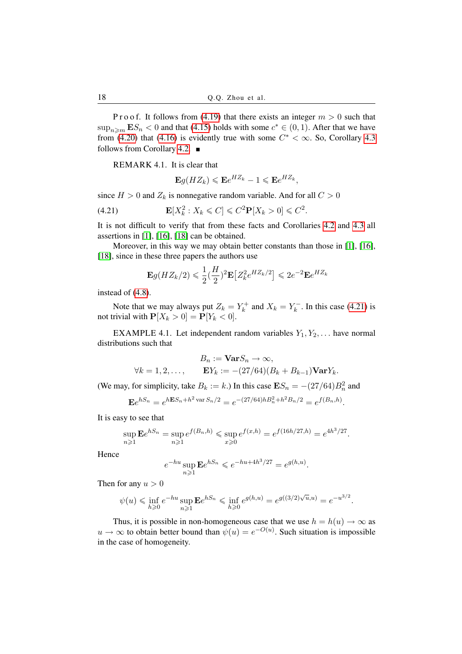P r o o f. It follows from [\(4.19\)](#page-16-5) that there exists an integer  $m > 0$  such that  $\sup_{n \geq m} \mathbf{E} S_n < 0$  and that [\(4.15\)](#page-16-4) holds with some  $c^* \in (0, 1)$ . After that we have from [\(4.20\)](#page-16-6) that [\(4.16\)](#page-16-1) is evidently true with some  $C^* < \infty$ . So, Corollary [4.3](#page-16-7) follows from Corollary [4.2.](#page-16-8)  $\blacksquare$ 

REMARK 4.1. It is clear that

$$
\mathbf{E}g(HZ_k)\leqslant \mathbf{E}e^{HZ_k}-1\leqslant \mathbf{E}e^{HZ_k},
$$

since  $H > 0$  and  $Z_k$  is nonnegative random variable. And for all  $C > 0$ 

<span id="page-17-0"></span>(4.21) 
$$
\mathbf{E}[X_k^2 : X_k \leq C] \leq C^2 \mathbf{P}[X_k > 0] \leq C^2.
$$

It is not difficult to verify that from these facts and Corollaries [4.2](#page-16-8) and [4.3](#page-16-7) all assertions in [\[1\]](#page-18-15), [\[16\]](#page-18-16), [\[18\]](#page-18-17) can be obtained.

Moreover, in this way we may obtain better constants than those in [\[1\]](#page-18-15), [\[16\]](#page-18-16), [\[18\]](#page-18-17), since in these three papers the authors use

$$
\mathbf{E}g(HZ_k/2) \leq \frac{1}{2}(\frac{H}{2})^2 \mathbf{E}\left[Z_k^2 e^{HZ_k/2}\right] \leq 2e^{-2} \mathbf{E}e^{HZ_k}
$$

instead of [\(4.8\)](#page-15-5).

Note that we may always put  $Z_k = Y_k^+$  $X_k^+$  and  $X_k = Y_k^ \binom{m}{k}$ . In this case [\(4.21\)](#page-17-0) is not trivial with  $\mathbf{P}[X_k > 0] = \mathbf{P}[Y_k < 0].$ 

EXAMPLE 4.1. Let independent random variables  $Y_1, Y_2, \ldots$  have normal distributions such that

$$
B_n := \mathbf{Var} S_n \to \infty,
$$
  
\n
$$
\forall k = 1, 2, \dots, \qquad \mathbf{E} Y_k := -(27/64)(B_k + B_{k-1})\mathbf{Var} Y_k.
$$

(We may, for simplicity, take  $B_k := k$ .) In this case  $\mathbf{E} S_n = -(27/64)B_n^2$  and

$$
\mathbf{E}e^{hS_n} = e^{h\mathbf{E}S_n + h^2 \operatorname{var} S_n/2} = e^{-(27/64)hB_n^2 + h^2B_n/2} = e^{f(B_n, h)}.
$$

It is easy to see that

$$
\sup_{n\geq 1} \mathbf{E} e^{hS_n} = \sup_{n\geq 1} e^{f(B_n, h)} \leq \sup_{x\geq 0} e^{f(x, h)} = e^{f(16h/27, h)} = e^{4h^3/27}.
$$

Hence

$$
e^{-hu} \sup_{n \ge 1} \mathbf{E} e^{hS_n} \le e^{-hu + 4h^3/27} = e^{g(h,u)}.
$$

Then for any  $u > 0$ 

$$
\psi(u) \leqslant \inf_{h \geqslant 0} e^{-hu} \sup_{n \geqslant 1} \mathbf{E} e^{hS_n} \leqslant \inf_{h \geqslant 0} e^{g(h,u)} = e^{g((3/2)\sqrt{u},u)} = e^{-u^{3/2}}.
$$

Thus, it is possible in non-homogeneous case that we use  $h = h(u) \rightarrow \infty$  as  $u \to \infty$  to obtain better bound than  $\psi(u) = e^{-O(u)}$ . Such situation is impossible in the case of homogeneity.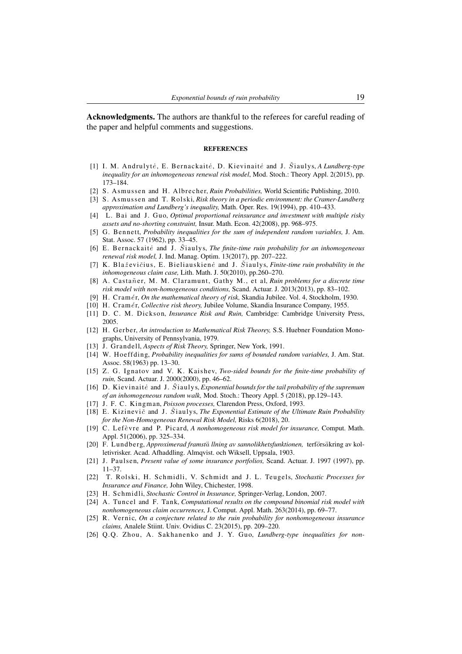Acknowledgments. The authors are thankful to the referees for careful reading of the paper and helpful comments and suggestions.

#### **REFERENCES**

- <span id="page-18-15"></span>[1] I. M. Andrulytė, E. Bernackaitė, D. Kievinaitė and J. Šiaulys, *A Lundberg-type inequality for an inhomogeneous renewal risk model*, Mod. Stoch.: Theory Appl. 2(2015), pp. 173–184.
- <span id="page-18-6"></span>[2] S. Asmussen and H. Albrecher, *Ruin Probabilities*, World Scientific Publishing, 2010.
- <span id="page-18-21"></span>[3] S. Asmussen and T. Rolski, *Risk theory in a periodic environment: the Cramer-Lundberg approximation and Lundberg's inequality,* Math. Oper. Res. 19(1994), pp. 410–433.
- <span id="page-18-23"></span>[4] L. Bai and J. Guo, *Optimal proportional reinsurance and investment with multiple risky assets and no-shorting constraint,* Insur. Math. Econ. 42(2008), pp. 968–975.
- <span id="page-18-24"></span>[5] G. Be n nett, *Probability inequalities for the sum of independent random variables,* J. Am. Stat. Assoc. 57 (1962), pp. 33–45.
- <span id="page-18-12"></span>[6] E. Bernackaite and J. Staulys, *The finite-time ruin probability for an inhomogeneous renewal risk model,* J. Ind. Manag. Optim. 13(2017), pp. 207–222.
- <span id="page-18-8"></span>[7] K. Blaževičius, E. Bieliauskienė and J. Šiaulys, *Finite-time ruin probability in the inhomogeneous claim case,* Lith. Math. J. 50(2010), pp.260–270.
- <span id="page-18-9"></span>[8] A. Castañer, M. M. Claramunt, Gathy M., et al, *Ruin problems for a discrete time risk model with non-homogeneous conditions,* Scand. Actuar. J. 2013(2013), pp. 83–102.
- <span id="page-18-1"></span>[9] H. C rame´r, *On the mathematical theory of risk,* Skandia Jubilee. Vol. 4, Stockholm, 1930.
- <span id="page-18-2"></span>[10] H. Cramér, *Collective risk theory*, Jubilee Volume, Skandia Insurance Company, 1955.
- <span id="page-18-3"></span>[11] D. C. M. Dickson, *Insurance Risk and Ruin*, Cambridge: Cambridge University Press, 2005.
- <span id="page-18-4"></span>[12] H. Gerber, *An introduction to Mathematical Risk Theorey*, S.S. Huebner Foundation Monographs, University of Pennsylvania, 1979.
- <span id="page-18-7"></span>[13] J. Grandell, *Aspects of Risk Theory*, Springer, New York, 1991.
- <span id="page-18-25"></span>[14] W. Hoeffding, *Probability inequalities for sums of bounded random variables*, J. Am. Stat. Assoc. 58(1963) pp. 13–30.
- <span id="page-18-13"></span>[15] Z. G. Ignatov and V. K. Kaishev, *Two-sided bounds for the finite-time probability of ruin,* Scand. Actuar. J. 2000(2000), pp. 46–62.
- <span id="page-18-16"></span>[16] D. Kievi naite˙ and J. Sˇia ul y s, *Exponential bounds for the tail probability of the supremum of an inhomogeneous random walk,* Mod. Stoch.: Theory Appl. 5 (2018), pp.129–143.
- <span id="page-18-18"></span>[17] J. F. C. Kingman, *Poisson processes*, Clarendon Press, Oxford, 1993.
- <span id="page-18-17"></span>[18] E. Kizinevič and J. Staulys, *The Exponential Estimate of the Ultimate Ruin Probability for the Non-Homogeneous Renewal Risk Model,* Risks 6(2018), 20.
- <span id="page-18-10"></span>[19] C. Lefèvre and P. Picard, *A nonhomogeneous risk model for insurance*, Comput. Math. Appl. 51(2006), pp. 325–334.
- <span id="page-18-0"></span>[20] F. Lundberg, *Approximerad framstä llning av sannolikhetsfunktionen*, terförsäkring av kolletivrisker. Acad. Afhaddling. Almqvist. och Wiksell, Uppsala, 1903.
- <span id="page-18-19"></span>[21] J. Paulsen, *Present value of some insurance portfolios*, Scand. Actuar. J. 1997 (1997), pp. 11–37.
- <span id="page-18-5"></span>[22] T. Rolski, H. Schmidli, V. Schmidt and J. L. Teugels, *Stochastic Processes for Insurance and Finance,* John Wiley, Chichester, 1998.
- <span id="page-18-22"></span>[23] H. Sc hmi dli, *Stochastic Control in Insurance,* Springer-Verlag, London, 2007.
- <span id="page-18-14"></span>[24] A. Tuncel and F. Tank, *Computational results on the compound binomial risk model with nonhomogeneous claim occurrences,* J. Comput. Appl. Math. 263(2014), pp. 69–77.
- <span id="page-18-11"></span>[25] R. Vernic, *On a conjecture related to the ruin probability for nonhomogeneous insurance claims,* Analele Stiint. Univ. Ovidius C. 23(2015), pp. 209–220.
- <span id="page-18-20"></span>[26] Q.Q. Zhou, A. Sakhanenko and J. Y. Guo, *Lundberg-type inequalities for non-*